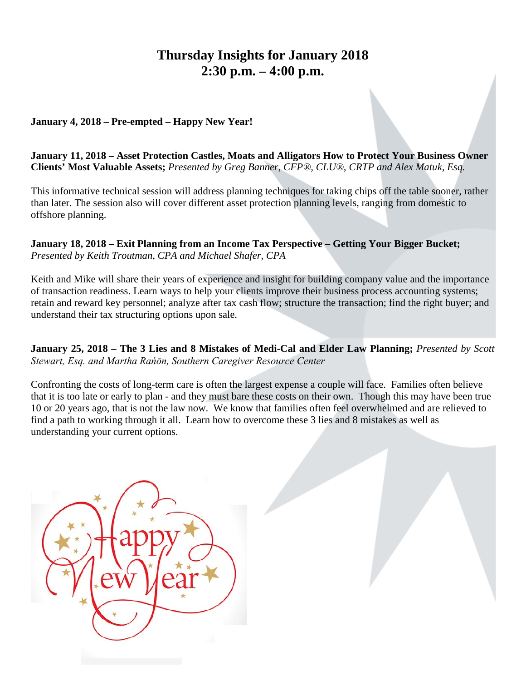# **Thursday Insights for January 2018 2:30 p.m. – 4:00 p.m.**

#### **January 4, 2018 – Pre-empted – Happy New Year!**

**January 11, 2018 – Asset Protection Castles, Moats and Alligators How to Protect Your Business Owner Clients' Most Valuable Assets;** *Presented by Greg Banner, CFP®, CLU®, CRTP and Alex Matuk, Esq.*

This informative technical session will address planning techniques for taking chips off the table sooner, rather than later. The session also will cover different asset protection planning levels, ranging from domestic to offshore planning.

#### **January 18, 2018 – Exit Planning from an Income Tax Perspective – Getting Your Bigger Bucket;**  *Presented by Keith Troutman, CPA and Michael Shafer, CPA*

Keith and Mike will share their years of experience and insight for building company value and the importance of transaction readiness. Learn ways to help your clients improve their business process accounting systems; retain and reward key personnel; analyze after tax cash flow; structure the transaction; find the right buyer; and understand their tax structuring options upon sale.

**January 25, 2018 – The 3 Lies and 8 Mistakes of Medi-Cal and Elder Law Planning;** *Presented by Scott Stewart, Esq. and Martha Rańōn, Southern Caregiver Resource Center* 

Confronting the costs of long-term care is often the largest expense a couple will face. Families often believe that it is too late or early to plan - and they must bare these costs on their own. Though this may have been true 10 or 20 years ago, that is not the law now. We know that families often feel overwhelmed and are relieved to find a path to working through it all. Learn how to overcome these 3 lies and 8 mistakes as well as understanding your current options.

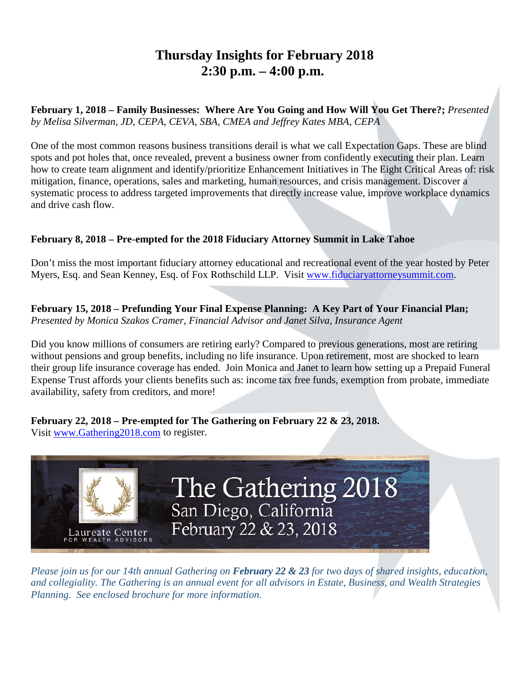# **Thursday Insights for February 2018 2:30 p.m. – 4:00 p.m.**

**February 1, 2018 – Family Businesses: Where Are You Going and How Will You Get There?;** *Presented by Melisa Silverman, JD, CEPA, CEVA, SBA, CMEA and Jeffrey Kates MBA, CEPA*

One of the most common reasons business transitions derail is what we call Expectation Gaps. These are blind spots and pot holes that, once revealed, prevent a business owner from confidently executing their plan. Learn how to create team alignment and identify/prioritize Enhancement Initiatives in The Eight Critical Areas of: risk mitigation, finance, operations, sales and marketing, human resources, and crisis management. Discover a systematic process to address targeted improvements that directly increase value, improve workplace dynamics and drive cash flow.

#### **February 8, 2018 – Pre-empted for the 2018 Fiduciary Attorney Summit in Lake Tahoe**

Don't miss the most important fiduciary attorney educational and recreational event of the year hosted by Peter Myers, Esq. and Sean Kenney, Esq. of Fox Rothschild LLP. Visit [www.fiduciaryattorneysummit.com.](http://www.fiduciaryattorneysummit.com/)

**February 15, 2018 – Prefunding Your Final Expense Planning: A Key Part of Your Financial Plan;**  *Presented by Monica Szakos Cramer, Financial Advisor and Janet Silva, Insurance Agent*

Did you know millions of consumers are retiring early? Compared to previous generations, most are retiring without pensions and group benefits, including no life insurance. Upon retirement, most are shocked to learn their group life insurance coverage has ended. Join Monica and Janet to learn how setting up a Prepaid Funeral Expense Trust affords your clients benefits such as: income tax free funds, exemption from probate, immediate availability, safety from creditors, and more!

**February 22, 2018 – Pre-empted for The Gathering on February 22 & 23, 2018.** 

Visit [www.Gathering2018.com](http://www.gathering2018.com/) to register.



*Please join us for our 14th annual Gathering on February 22 & 23 for two days of shared insights, educa*ti*on, and collegiality. The Gathering is an annual event for all advisors in Estate, Business, and Wealth Strategies Planning. See enclosed brochure for more information.*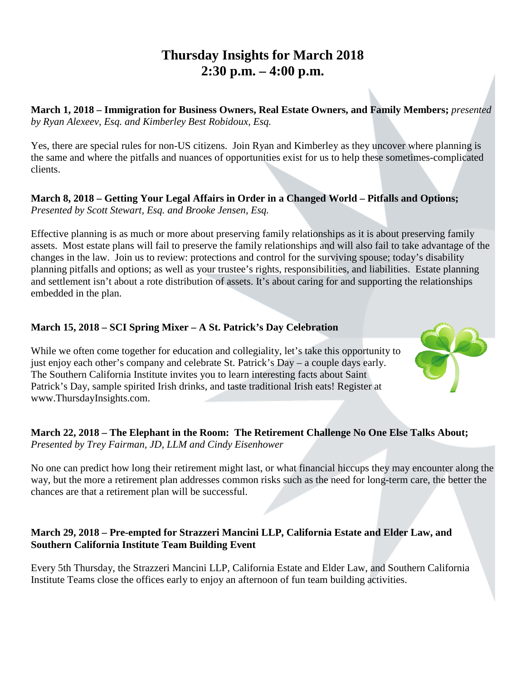# **Thursday Insights for March 2018 2:30 p.m. – 4:00 p.m.**

**March 1, 2018 – Immigration for Business Owners, Real Estate Owners, and Family Members;** *presented by Ryan Alexeev, Esq. and Kimberley Best Robidoux, Esq.*

Yes, there are special rules for non-US citizens. Join Ryan and Kimberley as they uncover where planning is the same and where the pitfalls and nuances of opportunities exist for us to help these sometimes-complicated clients.

#### **March 8, 2018 – Getting Your Legal Affairs in Order in a Changed World – Pitfalls and Options;**  *Presented by Scott Stewart, Esq. and Brooke Jensen, Esq.*

Effective planning is as much or more about preserving family relationships as it is about preserving family assets. Most estate plans will fail to preserve the family relationships and will also fail to take advantage of the changes in the law. Join us to review: protections and control for the surviving spouse; today's disability planning pitfalls and options; as well as your trustee's rights, responsibilities, and liabilities. Estate planning and settlement isn't about a rote distribution of assets. It's about caring for and supporting the relationships embedded in the plan.

#### **March 15, 2018 – SCI Spring Mixer – A St. Patrick's Day Celebration**

While we often come together for education and collegiality, let's take this opportunity to just enjoy each other's company and celebrate St. Patrick's Day – a couple days early. The Southern California Institute invites you to learn interesting facts about Saint Patrick's Day, sample spirited Irish drinks, and taste traditional Irish eats! Register at www.ThursdayInsights.com.



#### **March 22, 2018 – The Elephant in the Room: The Retirement Challenge No One Else Talks About;** *Presented by Trey Fairman, JD, LLM and Cindy Eisenhower*

No one can predict how long their retirement might last, or what financial hiccups they may encounter along the way, but the more a retirement plan addresses common risks such as the need for long-term care, the better the chances are that a retirement plan will be successful.

#### **March 29, 2018 – Pre-empted for Strazzeri Mancini LLP, California Estate and Elder Law, and Southern California Institute Team Building Event**

Every 5th Thursday, the Strazzeri Mancini LLP, California Estate and Elder Law, and Southern California Institute Teams close the offices early to enjoy an afternoon of fun team building activities.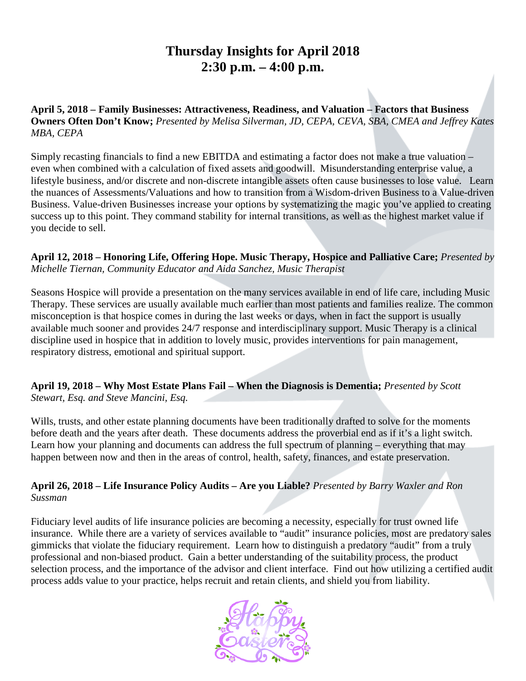# **Thursday Insights for April 2018 2:30 p.m. – 4:00 p.m.**

**April 5, 2018 – Family Businesses: Attractiveness, Readiness, and Valuation – Factors that Business Owners Often Don't Know;** *Presented by Melisa Silverman, JD, CEPA, CEVA, SBA, CMEA and Jeffrey Kates MBA, CEPA*

Simply recasting financials to find a new EBITDA and estimating a factor does not make a true valuation – even when combined with a calculation of fixed assets and goodwill. Misunderstanding enterprise value, a lifestyle business, and/or discrete and non-discrete intangible assets often cause businesses to lose value. Learn the nuances of Assessments/Valuations and how to transition from a Wisdom-driven Business to a Value-driven Business. Value-driven Businesses increase your options by systematizing the magic you've applied to creating success up to this point. They command stability for internal transitions, as well as the highest market value if you decide to sell.

**April 12, 2018 – Honoring Life, Offering Hope. Music Therapy, Hospice and Palliative Care;** *Presented by Michelle Tiernan, Community Educator and Aida Sanchez, Music Therapist*

Seasons Hospice will provide a presentation on the many services available in end of life care, including Music Therapy. These services are usually available much earlier than most patients and families realize. The common misconception is that hospice comes in during the last weeks or days, when in fact the support is usually available much sooner and provides 24/7 response and interdisciplinary support. Music Therapy is a clinical discipline used in hospice that in addition to lovely music, provides interventions for pain management, respiratory distress, emotional and spiritual support.

**April 19, 2018 – Why Most Estate Plans Fail – When the Diagnosis is Dementia;** *Presented by Scott Stewart, Esq. and Steve Mancini, Esq.*

Wills, trusts, and other estate planning documents have been traditionally drafted to solve for the moments before death and the years after death. These documents address the proverbial end as if it's a light switch. Learn how your planning and documents can address the full spectrum of planning – everything that may happen between now and then in the areas of control, health, safety, finances, and estate preservation.

**April 26, 2018 – Life Insurance Policy Audits – Are you Liable?** *Presented by Barry Waxler and Ron Sussman*

Fiduciary level audits of life insurance policies are becoming a necessity, especially for trust owned life insurance. While there are a variety of services available to "audit" insurance policies, most are predatory sales gimmicks that violate the fiduciary requirement. Learn how to distinguish a predatory "audit" from a truly professional and non-biased product. Gain a better understanding of the suitability process, the product selection process, and the importance of the advisor and client interface. Find out how utilizing a certified audit process adds value to your practice, helps recruit and retain clients, and shield you from liability.

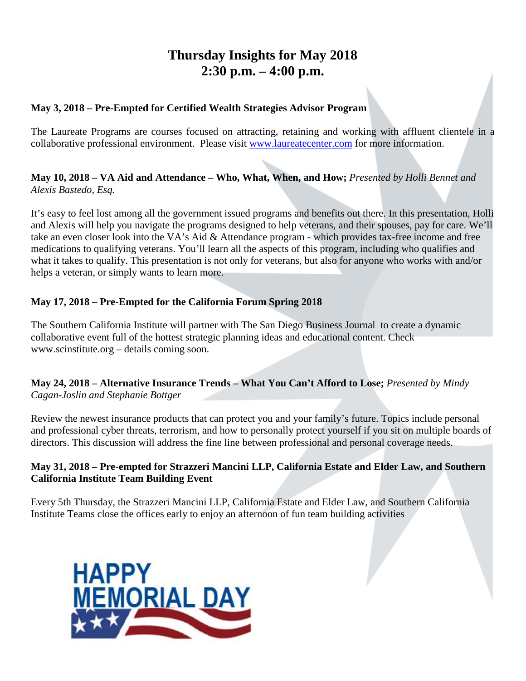# **Thursday Insights for May 2018 2:30 p.m. – 4:00 p.m.**

#### **May 3, 2018 – Pre-Empted for Certified Wealth Strategies Advisor Program**

The Laureate Programs are courses focused on attracting, retaining and working with affluent clientele in a collaborative professional environment. Please visit [www.laureatecenter.com](http://www.laureatecenter.com/) for more information.

#### **May 10, 2018 – VA Aid and Attendance – Who, What, When, and How;** *Presented by Holli Bennet and Alexis Bastedo, Esq.*

It's easy to feel lost among all the government issued programs and benefits out there. In this presentation, Holli and Alexis will help you navigate the programs designed to help veterans, and their spouses, pay for care. We'll take an even closer look into the VA's Aid & Attendance program - which provides tax-free income and free medications to qualifying veterans. You'll learn all the aspects of this program, including who qualifies and what it takes to qualify. This presentation is not only for veterans, but also for anyone who works with and/or helps a veteran, or simply wants to learn more.

#### **May 17, 2018 – Pre-Empted for the California Forum Spring 2018**

The Southern California Institute will partner with The San Diego Business Journal to create a dynamic collaborative event full of the hottest strategic planning ideas and educational content. Check www.scinstitute.org – details coming soon.

#### **May 24, 2018 – Alternative Insurance Trends – What You Can't Afford to Lose;** *Presented by Mindy Cagan-Joslin and Stephanie Bottger*

Review the newest insurance products that can protect you and your family's future. Topics include personal and professional cyber threats, terrorism, and how to personally protect yourself if you sit on multiple boards of directors. This discussion will address the fine line between professional and personal coverage needs.

#### **May 31, 2018 – Pre-empted for Strazzeri Mancini LLP, California Estate and Elder Law, and Southern California Institute Team Building Event**

Every 5th Thursday, the Strazzeri Mancini LLP, California Estate and Elder Law, and Southern California Institute Teams close the offices early to enjoy an afternoon of fun team building activities

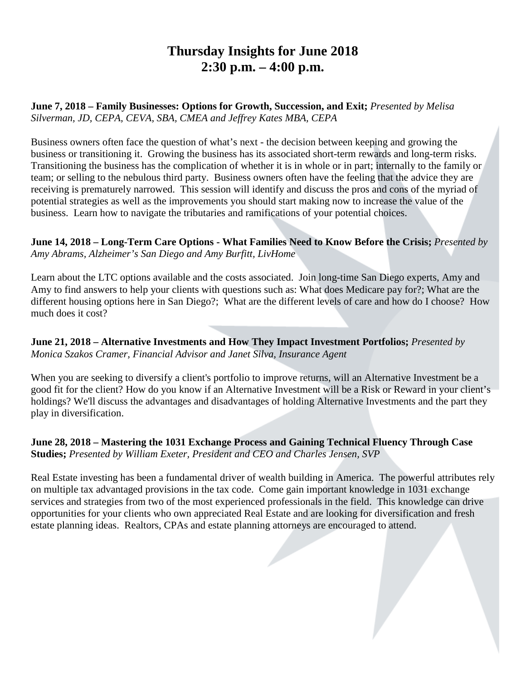## **Thursday Insights for June 2018 2:30 p.m. – 4:00 p.m.**

**June 7, 2018 – Family Businesses: Options for Growth, Succession, and Exit;** *Presented by Melisa Silverman, JD, CEPA, CEVA, SBA, CMEA and Jeffrey Kates MBA, CEPA*

Business owners often face the question of what's next - the decision between keeping and growing the business or transitioning it. Growing the business has its associated short-term rewards and long-term risks. Transitioning the business has the complication of whether it is in whole or in part; internally to the family or team; or selling to the nebulous third party. Business owners often have the feeling that the advice they are receiving is prematurely narrowed. This session will identify and discuss the pros and cons of the myriad of potential strategies as well as the improvements you should start making now to increase the value of the business. Learn how to navigate the tributaries and ramifications of your potential choices.

**June 14, 2018 – Long-Term Care Options - What Families Need to Know Before the Crisis;** *Presented by Amy Abrams, Alzheimer's San Diego and Amy Burfitt, LivHome*

Learn about the LTC options available and the costs associated. Join long-time San Diego experts, Amy and Amy to find answers to help your clients with questions such as: What does Medicare pay for?; What are the different housing options here in San Diego?; What are the different levels of care and how do I choose? How much does it cost?

**June 21, 2018 – Alternative Investments and How They Impact Investment Portfolios;** *Presented by Monica Szakos Cramer, Financial Advisor and Janet Silva, Insurance Agent*

When you are seeking to diversify a client's portfolio to improve returns, will an Alternative Investment be a good fit for the client? How do you know if an Alternative Investment will be a Risk or Reward in your client's holdings? We'll discuss the advantages and disadvantages of holding Alternative Investments and the part they play in diversification.

**June 28, 2018 – Mastering the 1031 Exchange Process and Gaining Technical Fluency Through Case Studies;** *Presented by William Exeter, President and CEO and Charles Jensen, SVP*

Real Estate investing has been a fundamental driver of wealth building in America. The powerful attributes rely on multiple tax advantaged provisions in the tax code. Come gain important knowledge in 1031 exchange services and strategies from two of the most experienced professionals in the field. This knowledge can drive opportunities for your clients who own appreciated Real Estate and are looking for diversification and fresh estate planning ideas. Realtors, CPAs and estate planning attorneys are encouraged to attend.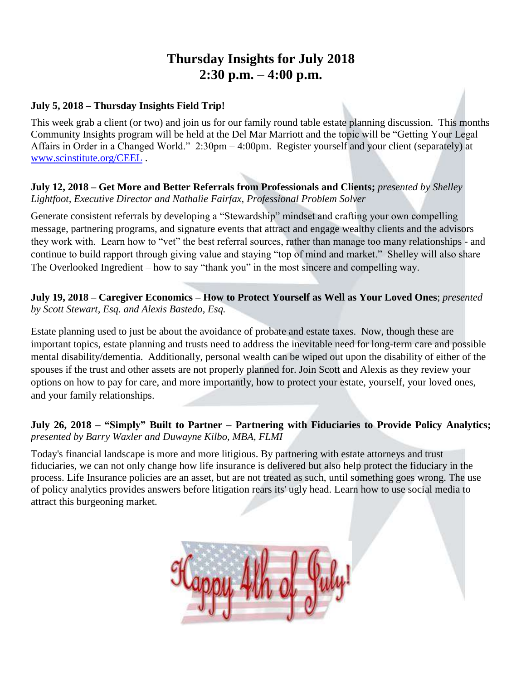### **Thursday Insights for July 2018 2:30 p.m. – 4:00 p.m.**

#### **July 5, 2018 – Thursday Insights Field Trip!**

This week grab a client (or two) and join us for our family round table estate planning discussion. This months Community Insights program will be held at the Del Mar Marriott and the topic will be "Getting Your Legal Affairs in Order in a Changed World." 2:30pm – 4:00pm. Register yourself and your client (separately) at [www.scinstitute.org/CEEL](http://www.scinstitute.org/CEEL) .

#### **July 12, 2018 – Get More and Better Referrals from Professionals and Clients;** *presented by Shelley Lightfoot, Executive Director and Nathalie Fairfax, Professional Problem Solver*

Generate consistent referrals by developing a "Stewardship" mindset and crafting your own compelling message, partnering programs, and signature events that attract and engage wealthy clients and the advisors they work with. Learn how to "vet" the best referral sources, rather than manage too many relationships - and continue to build rapport through giving value and staying "top of mind and market." Shelley will also share The Overlooked Ingredient – how to say "thank you" in the most sincere and compelling way.

#### **July 19, 2018 – Caregiver Economics – How to Protect Yourself as Well as Your Loved Ones**; *presented by Scott Stewart, Esq. and Alexis Bastedo, Esq.*

Estate planning used to just be about the avoidance of probate and estate taxes. Now, though these are important topics, estate planning and trusts need to address the inevitable need for long-term care and possible mental disability/dementia. Additionally, personal wealth can be wiped out upon the disability of either of the spouses if the trust and other assets are not properly planned for. Join Scott and Alexis as they review your options on how to pay for care, and more importantly, how to protect your estate, yourself, your loved ones, and your family relationships.

#### **July 26, 2018 – "Simply" Built to Partner – Partnering with Fiduciaries to Provide Policy Analytics;**  *presented by Barry Waxler and Duwayne Kilbo, MBA, FLMI*

Today's financial landscape is more and more litigious. By partnering with estate attorneys and trust fiduciaries, we can not only change how life insurance is delivered but also help protect the fiduciary in the process. Life Insurance policies are an asset, but are not treated as such, until something goes wrong. The use of policy analytics provides answers before litigation rears its' ugly head. Learn how to use social media to attract this burgeoning market.

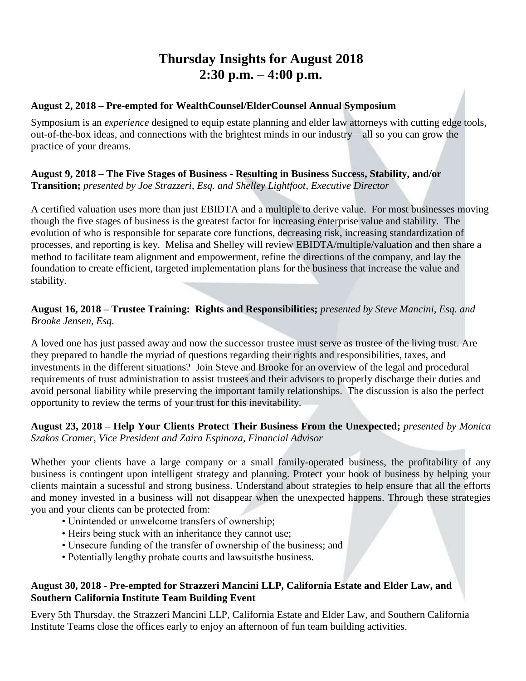### **Thursday Insights for August 2018 2:30 p.m. – 4:00 p.m.**

#### **August 2, 2018 – Pre-empted for WealthCounsel/ElderCounsel Annual Symposium**

Symposium is an *experience* designed to equip estate planning and elder law attorneys with cutting edge tools, out-of-the-box ideas, and connections with the brightest minds in our industry—all so you can grow the practice of your dreams.

#### **August 9, 2018 – The Five Stages of Business - Resulting in Business Success, Stability, and/or Transition;** *presented by Joe Strazzeri, Esq. and Shelley Lightfoot, Executive Director*

A certified valuation uses more than just EBIDTA and a multiple to derive value. For most businesses moving though the five stages of business is the greatest factor for increasing enterprise value and stability. The evolution of who is responsible for separate core functions, decreasing risk, increasing standardization of processes, and reporting is key. Melisa and Shelley will review EBIDTA/multiple/valuation and then share a method to facilitate team alignment and empowerment, refine the directions of the company, and lay the foundation to create efficient, targeted implementation plans for the business that increase the value and stability.

#### **August 16, 2018 – Trustee Training: Rights and Responsibilities;** *presented by Steve Mancini, Esq. and Brooke Jensen, Esq.*

A loved one has just passed away and now the successor trustee must serve as trustee of the living trust. Are they prepared to handle the myriad of questions regarding their rights and responsibilities, taxes, and investments in the different situations? Join Steve and Brooke for an overview of the legal and procedural requirements of trust administration to assist trustees and their advisors to properly discharge their duties and avoid personal liability while preserving the important family relationships. The discussion is also the perfect opportunity to review the terms of your trust for this inevitability.

#### **August 23, 2018 – Help Your Clients Protect Their Business From the Unexpected;** *presented by Monica Szakos Cramer, Vice President and Zaira Espinoza, Financial Advisor*

Whether your clients have a large company or a small family-operated business, the profitability of any business is contingent upon intelligent strategy and planning. Protect your book of business by helping your clients maintain a sucessful and strong business. Understand about strategies to help ensure that all the efforts and money invested in a business will not disappear when the unexpected happens. Through these strategies you and your clients can be protected from:

- Unintended or unwelcome transfers of ownership;
- Heirs being stuck with an inheritance they cannot use;
- Unsecure funding of the transfer of ownership of the business; and
- Potentially lengthy probate courts and lawsuitsthe business.

#### **August 30, 2018 - Pre-empted for Strazzeri Mancini LLP, California Estate and Elder Law, and Southern California Institute Team Building Event**

Every 5th Thursday, the Strazzeri Mancini LLP, California Estate and Elder Law, and Southern California Institute Teams close the offices early to enjoy an afternoon of fun team building activities.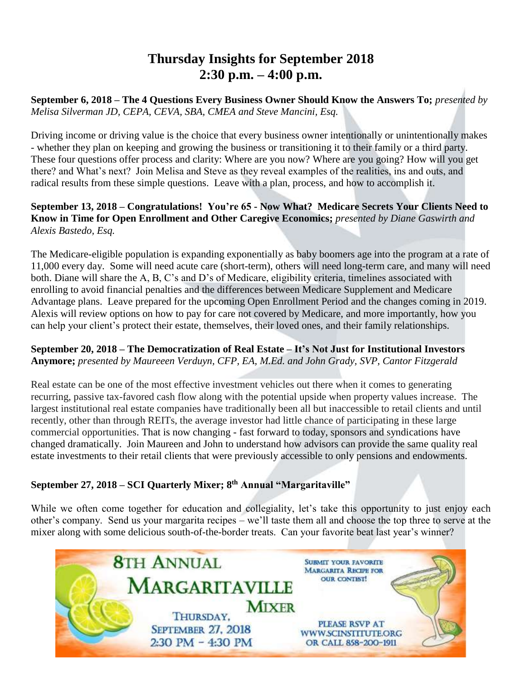### **Thursday Insights for September 2018 2:30 p.m. – 4:00 p.m.**

**September 6, 2018 – The 4 Questions Every Business Owner Should Know the Answers To;** *presented by Melisa Silverman JD, CEPA, CEVA, SBA, CMEA and Steve Mancini, Esq.* 

Driving income or driving value is the choice that every business owner intentionally or unintentionally makes - whether they plan on keeping and growing the business or transitioning it to their family or a third party. These four questions offer process and clarity: Where are you now? Where are you going? How will you get there? and What's next? Join Melisa and Steve as they reveal examples of the realities, ins and outs, and radical results from these simple questions. Leave with a plan, process, and how to accomplish it.

#### **September 13, 2018 – Congratulations! You're 65 - Now What? Medicare Secrets Your Clients Need to Know in Time for Open Enrollment and Other Caregive Economics;** *presented by Diane Gaswirth and Alexis Bastedo, Esq.*

The Medicare-eligible population is expanding exponentially as baby boomers age into the program at a rate of 11,000 every day. Some will need acute care (short-term), others will need long-term care, and many will need both. Diane will share the A, B, C's and D's of Medicare, eligibility criteria, timelines associated with enrolling to avoid financial penalties and the differences between Medicare Supplement and Medicare Advantage plans. Leave prepared for the upcoming Open Enrollment Period and the changes coming in 2019. Alexis will review options on how to pay for care not covered by Medicare, and more importantly, how you can help your client's protect their estate, themselves, their loved ones, and their family relationships.

#### **September 20, 2018 – The Democratization of Real Estate – It's Not Just for Institutional Investors Anymore;** *presented by Maureeen Verduyn, CFP, EA, M.Ed. and John Grady, SVP, Cantor Fitzgerald*

Real estate can be one of the most effective investment vehicles out there when it comes to generating recurring, passive tax-favored cash flow along with the potential upside when property values increase. The largest institutional real estate companies have traditionally been all but inaccessible to retail clients and until recently, other than through REITs, the average investor had little chance of participating in these large commercial opportunities. That is now changing - fast forward to today, sponsors and syndications have changed dramatically. Join Maureen and John to understand how advisors can provide the same quality real estate investments to their retail clients that were previously accessible to only pensions and endowments.

#### **September 27, 2018 – SCI Quarterly Mixer; 8th Annual "Margaritaville"**

While we often come together for education and collegiality, let's take this opportunity to just enjoy each other's company. Send us your margarita recipes – we'll taste them all and choose the top three to serve at the mixer along with some delicious south-of-the-border treats. Can your favorite beat last year's winner?

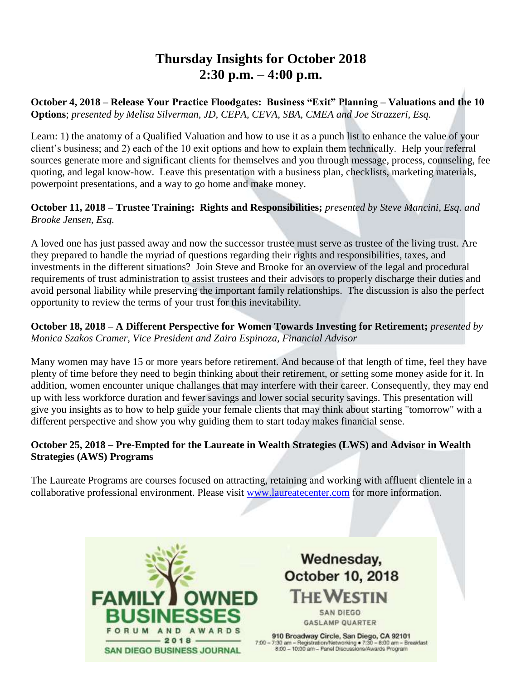### **Thursday Insights for October 2018 2:30 p.m. – 4:00 p.m.**

**October 4, 2018 – Release Your Practice Floodgates: Business "Exit" Planning – Valuations and the 10 Options**; *presented by Melisa Silverman, JD, CEPA, CEVA, SBA, CMEA and Joe Strazzeri, Esq.*

Learn: 1) the anatomy of a Qualified Valuation and how to use it as a punch list to enhance the value of your client's business; and 2) each of the 10 exit options and how to explain them technically. Help your referral sources generate more and significant clients for themselves and you through message, process, counseling, fee quoting, and legal know-how. Leave this presentation with a business plan, checklists, marketing materials, powerpoint presentations, and a way to go home and make money.

#### **October 11, 2018 – Trustee Training: Rights and Responsibilities;** *presented by Steve Mancini, Esq. and Brooke Jensen, Esq.*

A loved one has just passed away and now the successor trustee must serve as trustee of the living trust. Are they prepared to handle the myriad of questions regarding their rights and responsibilities, taxes, and investments in the different situations? Join Steve and Brooke for an overview of the legal and procedural requirements of trust administration to assist trustees and their advisors to properly discharge their duties and avoid personal liability while preserving the important family relationships. The discussion is also the perfect opportunity to review the terms of your trust for this inevitability.

**October 18, 2018 – A Different Perspective for Women Towards Investing for Retirement;** *presented by Monica Szakos Cramer, Vice President and Zaira Espinoza, Financial Advisor*

Many women may have 15 or more years before retirement. And because of that length of time, feel they have plenty of time before they need to begin thinking about their retirement, or setting some money aside for it. In addition, women encounter unique challanges that may interfere with their career. Consequently, they may end up with less workforce duration and fewer savings and lower social security savings. This presentation will give you insights as to how to help guide your female clients that may think about starting "tomorrow" with a different perspective and show you why guiding them to start today makes financial sense.

#### **October 25, 2018 – Pre-Empted for the Laureate in Wealth Strategies (LWS) and Advisor in Wealth Strategies (AWS) Programs**

The Laureate Programs are courses focused on attracting, retaining and working with affluent clientele in a collaborative professional environment. Please visit [www.laureatecenter.com](http://www.laureatecenter.com/) for more information.



Wednesday, **October 10, 2018 THE WESTIN** 

**SAN DIEGO GASLAMP QUARTER** 

910 Broadway Circle, San Diego, CA 92101 7:00 - 7:30 am - Registration/Networking • 7:30 - 8:00 am - Breakfast<br>8:00 - 10:00 am - Panel Discussions/Awards Program